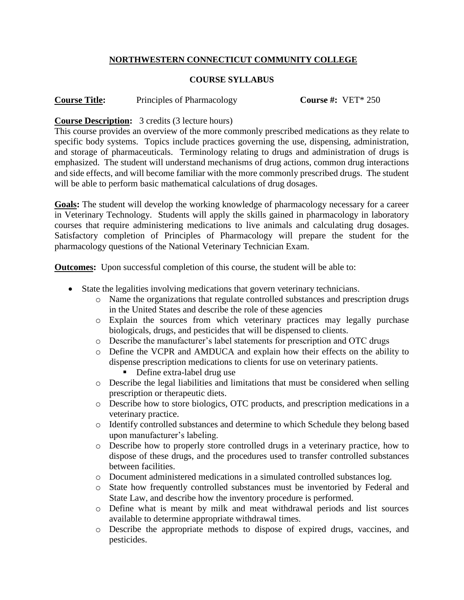# **NORTHWESTERN CONNECTICUT COMMUNITY COLLEGE**

### **COURSE SYLLABUS**

**Course Title:** Principles of Pharmacology **Course #:** VET\* 250

# **Course Description:** 3 credits (3 lecture hours)

This course provides an overview of the more commonly prescribed medications as they relate to specific body systems. Topics include practices governing the use, dispensing, administration, and storage of pharmaceuticals. Terminology relating to drugs and administration of drugs is emphasized. The student will understand mechanisms of drug actions, common drug interactions and side effects, and will become familiar with the more commonly prescribed drugs. The student will be able to perform basic mathematical calculations of drug dosages.

**Goals:** The student will develop the working knowledge of pharmacology necessary for a career in Veterinary Technology. Students will apply the skills gained in pharmacology in laboratory courses that require administering medications to live animals and calculating drug dosages. Satisfactory completion of Principles of Pharmacology will prepare the student for the pharmacology questions of the National Veterinary Technician Exam.

**Outcomes:** Upon successful completion of this course, the student will be able to:

- State the legalities involving medications that govern veterinary technicians.
	- o Name the organizations that regulate controlled substances and prescription drugs in the United States and describe the role of these agencies
	- o Explain the sources from which veterinary practices may legally purchase biologicals, drugs, and pesticides that will be dispensed to clients.
	- o Describe the manufacturer's label statements for prescription and OTC drugs
	- o Define the VCPR and AMDUCA and explain how their effects on the ability to dispense prescription medications to clients for use on veterinary patients.
		- Define extra-label drug use
	- o Describe the legal liabilities and limitations that must be considered when selling prescription or therapeutic diets.
	- o Describe how to store biologics, OTC products, and prescription medications in a veterinary practice.
	- o Identify controlled substances and determine to which Schedule they belong based upon manufacturer's labeling.
	- o Describe how to properly store controlled drugs in a veterinary practice, how to dispose of these drugs, and the procedures used to transfer controlled substances between facilities.
	- o Document administered medications in a simulated controlled substances log.
	- o State how frequently controlled substances must be inventoried by Federal and State Law, and describe how the inventory procedure is performed.
	- o Define what is meant by milk and meat withdrawal periods and list sources available to determine appropriate withdrawal times.
	- o Describe the appropriate methods to dispose of expired drugs, vaccines, and pesticides.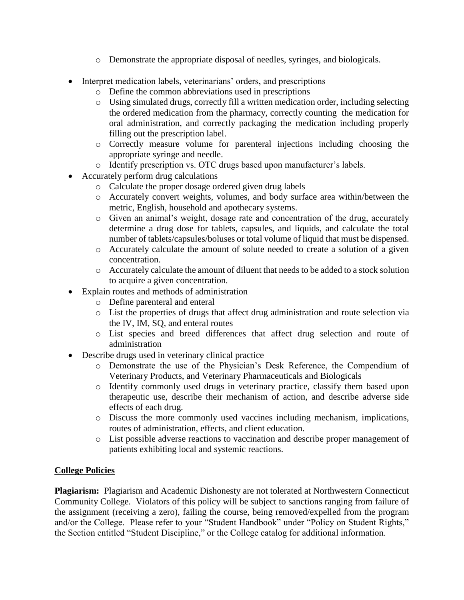- o Demonstrate the appropriate disposal of needles, syringes, and biologicals.
- Interpret medication labels, veterinarians' orders, and prescriptions
	- o Define the common abbreviations used in prescriptions
	- o Using simulated drugs, correctly fill a written medication order, including selecting the ordered medication from the pharmacy, correctly counting the medication for oral administration, and correctly packaging the medication including properly filling out the prescription label.
	- o Correctly measure volume for parenteral injections including choosing the appropriate syringe and needle.
	- o Identify prescription vs. OTC drugs based upon manufacturer's labels.
- Accurately perform drug calculations
	- o Calculate the proper dosage ordered given drug labels
	- o Accurately convert weights, volumes, and body surface area within/between the metric, English, household and apothecary systems.
	- o Given an animal's weight, dosage rate and concentration of the drug, accurately determine a drug dose for tablets, capsules, and liquids, and calculate the total number of tablets/capsules/boluses or total volume of liquid that must be dispensed.
	- o Accurately calculate the amount of solute needed to create a solution of a given concentration.
	- o Accurately calculate the amount of diluent that needs to be added to a stock solution to acquire a given concentration.
- Explain routes and methods of administration
	- o Define parenteral and enteral
	- o List the properties of drugs that affect drug administration and route selection via the IV, IM, SQ, and enteral routes
	- o List species and breed differences that affect drug selection and route of administration
- Describe drugs used in veterinary clinical practice
	- o Demonstrate the use of the Physician's Desk Reference, the Compendium of Veterinary Products, and Veterinary Pharmaceuticals and Biologicals
	- o Identify commonly used drugs in veterinary practice, classify them based upon therapeutic use, describe their mechanism of action, and describe adverse side effects of each drug.
	- o Discuss the more commonly used vaccines including mechanism, implications, routes of administration, effects, and client education.
	- o List possible adverse reactions to vaccination and describe proper management of patients exhibiting local and systemic reactions.

# **College Policies**

**Plagiarism:** Plagiarism and Academic Dishonesty are not tolerated at Northwestern Connecticut Community College. Violators of this policy will be subject to sanctions ranging from failure of the assignment (receiving a zero), failing the course, being removed/expelled from the program and/or the College. Please refer to your "Student Handbook" under "Policy on Student Rights," the Section entitled "Student Discipline," or the College catalog for additional information.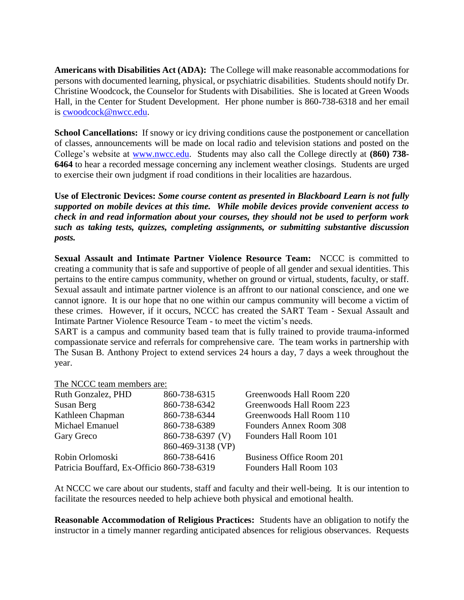**Americans with Disabilities Act (ADA):** The College will make reasonable accommodations for persons with documented learning, physical, or psychiatric disabilities. Students should notify Dr. Christine Woodcock, the Counselor for Students with Disabilities. She is located at Green Woods Hall, in the Center for Student Development. Her phone number is 860-738-6318 and her email is [cwoodcock@nwcc.edu.](mailto:cwoodcock@nwcc.edu)

**School Cancellations:** If snowy or icy driving conditions cause the postponement or cancellation of classes, announcements will be made on local radio and television stations and posted on the College's website at [www.nwcc.edu.](http://www.nwcc.edu/) Students may also call the College directly at **(860) 738- 6464** to hear a recorded message concerning any inclement weather closings. Students are urged to exercise their own judgment if road conditions in their localities are hazardous.

**Use of Electronic Devices:** *Some course content as presented in Blackboard Learn is not fully supported on mobile devices at this time. While mobile devices provide convenient access to check in and read information about your courses, they should not be used to perform work such as taking tests, quizzes, completing assignments, or submitting substantive discussion posts.*

**Sexual Assault and Intimate Partner Violence Resource Team:** NCCC is committed to creating a community that is safe and supportive of people of all gender and sexual identities. This pertains to the entire campus community, whether on ground or virtual, students, faculty, or staff. Sexual assault and intimate partner violence is an affront to our national conscience, and one we cannot ignore. It is our hope that no one within our campus community will become a victim of these crimes. However, if it occurs, NCCC has created the SART Team - Sexual Assault and Intimate Partner Violence Resource Team - to meet the victim's needs.

SART is a campus and community based team that is fully trained to provide trauma-informed compassionate service and referrals for comprehensive care. The team works in partnership with The Susan B. Anthony Project to extend services 24 hours a day, 7 days a week throughout the year.

#### The NCCC team members are:

| Ruth Gonzalez, PHD                         | 860-738-6315      | Greenwoods Hall Room 220 |
|--------------------------------------------|-------------------|--------------------------|
| Susan Berg                                 | 860-738-6342      | Greenwoods Hall Room 223 |
| Kathleen Chapman                           | 860-738-6344      | Greenwoods Hall Room 110 |
| Michael Emanuel                            | 860-738-6389      | Founders Annex Room 308  |
| Gary Greco                                 | 860-738-6397 (V)  | Founders Hall Room 101   |
|                                            | 860-469-3138 (VP) |                          |
| Robin Orlomoski                            | 860-738-6416      | Business Office Room 201 |
| Patricia Bouffard, Ex-Officio 860-738-6319 |                   | Founders Hall Room 103   |
|                                            |                   |                          |

At NCCC we care about our students, staff and faculty and their well-being. It is our intention to facilitate the resources needed to help achieve both physical and emotional health.

**Reasonable Accommodation of Religious Practices:** Students have an obligation to notify the instructor in a timely manner regarding anticipated absences for religious observances. Requests